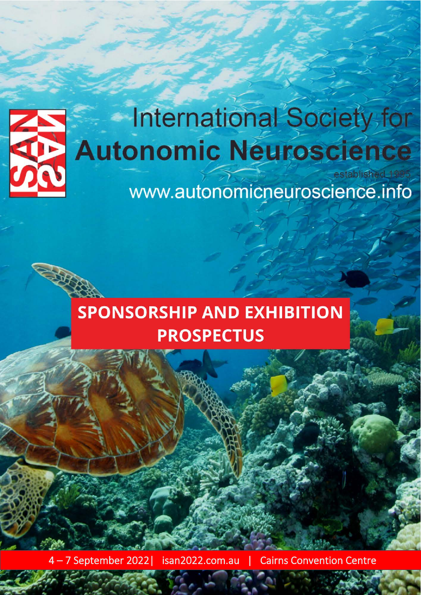

# International Society for **Autonomic Neuroscience** established 1995

www.autonomicneuroscience.info

# **SPONSORSHIP AND EXHIBITION PROSPECTUS**

4 – 7 September 2022 | isan2022.com.au | Cairns Convention Centre

Arinex Pty Ltd. Company Ltd. Company Ltd. Company Ltd. Company Ltd. Company Ltd. Company Ltd. Company Ltd. Company Ltd. Company Ltd. Company Ltd. Company Ltd. Company Ltd. Company Ltd. Company Ltd. Company Ltd. Company Ltd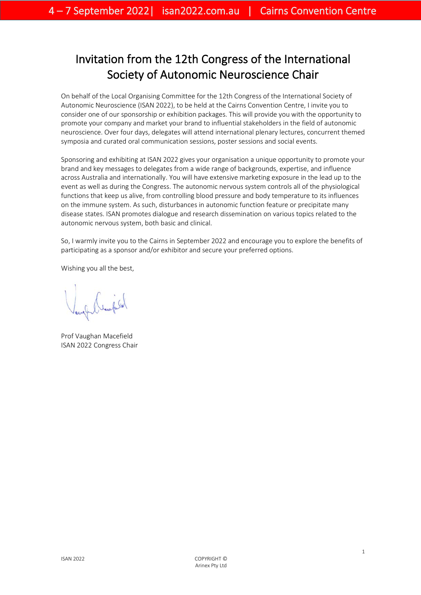# Invitation from the 12th Congress of the International Society of Autonomic Neuroscience Chair

On behalf of the Local Organising Committee for the 12th Congress of the International Society of Autonomic Neuroscience (ISAN 2022), to be held at the Cairns Convention Centre, I invite you to consider one of our sponsorship or exhibition packages. This will provide you with the opportunity to promote your company and market your brand to influential stakeholders in the field of autonomic neuroscience. Over four days, delegates will attend international plenary lectures, concurrent themed symposia and curated oral communication sessions, poster sessions and social events.

Sponsoring and exhibiting at ISAN 2022 gives your organisation a unique opportunity to promote your brand and key messages to delegates from a wide range of backgrounds, expertise, and influence across Australia and internationally. You will have extensive marketing exposure in the lead up to the event as well as during the Congress. The autonomic nervous system controls all of the physiological functions that keep us alive, from controlling blood pressure and body temperature to its influences on the immune system. As such, disturbances in autonomic function feature or precipitate many disease states. ISAN promotes dialogue and research dissemination on various topics related to the autonomic nervous system, both basic and clinical.

So, I warmly invite you to the Cairns in September 2022 and encourage you to explore the benefits of participating as a sponsor and/or exhibitor and secure your preferred options.

Wishing you all the best,

Prof Vaughan Macefield ISAN 2022 Congress Chair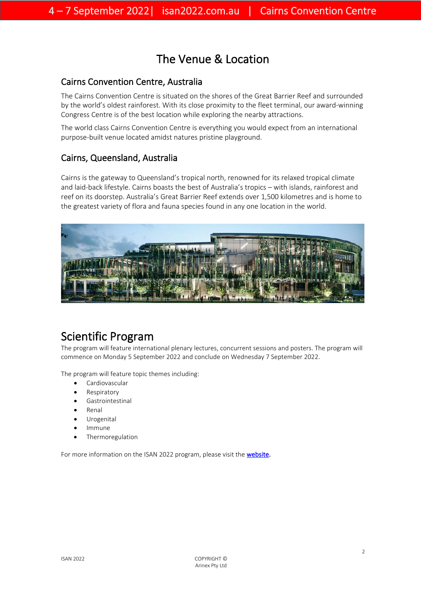# The Venue & Location

### Cairns Convention Centre, Australia

The Cairns Convention Centre is situated on the shores of the Great Barrier Reef and surrounded by the world's oldest rainforest. With its close proximity to the fleet terminal, our award-winning Congress Centre is of the best location while exploring the nearby attractions.

The world class Cairns Convention Centre is everything you would expect from an international purpose-built venue located amidst natures pristine playground.

### Cairns, Queensland, Australia

Cairns is the gateway to Queensland's tropical north, renowned for its relaxed tropical climate and laid-back lifestyle. Cairns boasts the best of Australia's tropics – with islands, rainforest and reef on its doorstep. Australia's Great Barrier Reef extends over 1,500 kilometres and is home to the greatest variety of flora and fauna species found in any one location in the world.



Scientific Program<br>The program will feature international plenary lectures, concurrent sessions and posters. The program will commence on Monday 5 September 2022 and conclude on Wednesday 7 September 2022.

The program will feature topic themes including:

- Cardiovascular
- **Respiratory**
- Gastrointestinal
- Renal
- **Urogenital**
- Immune
- **Thermoregulation**

For more information on the ISAN 2022 program, please visit the **website**.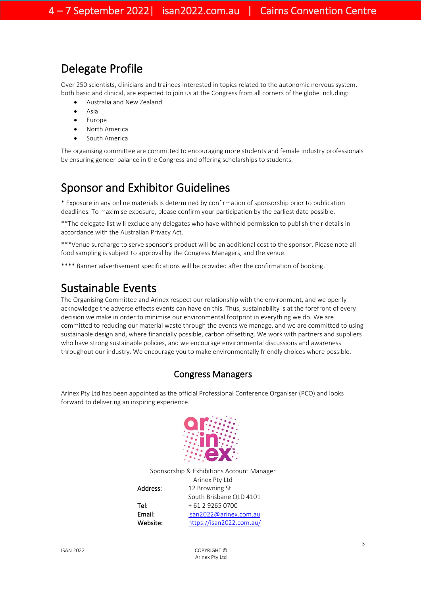# Delegate Profile

Over 250 scientists, clinicians and trainees interested in topics related to the autonomic nervous system, both basic and clinical, are expected to join us at the Congress from all corners of the globe including:

- Australia and New Zealand
- Asia
- Europe
- North America
- South America

The organising committee are committed to encouraging more students and female industry professionals by ensuring gender balance in the Congress and offering scholarships to students.

# Sponsor and Exhibitor Guidelines

\* Exposure in any online materials is determined by confirmation of sponsorship prior to publication deadlines. To maximise exposure, please confirm your participation by the earliest date possible.

\*\*The delegate list will exclude any delegates who have withheld permission to publish their details in accordance with the Australian Privacy Act.

\*\*\*Venue surcharge to serve sponsor's product will be an additional cost to the sponsor. Please note all food sampling is subject to approval by the Congress Managers, and the venue.

\*\*\*\* Banner advertisement specifications will be provided after the confirmation of booking.

Sustainable Events<br>The Organising Committee and Arinex respect our relationship with the environment, and we openly acknowledge the adverse effects events can have on this. Thus, sustainability is at the forefront of every decision we make in order to minimise our environmental footprint in everything we do. We are committed to reducing our material waste through the events we manage, and we are committed to using sustainable design and, where financially possible, carbon offsetting. We work with partners and suppliers who have strong sustainable policies, and we encourage environmental discussions and awareness throughout our industry. We encourage you to make environmentally friendly choices where possible.

## Congress Managers

Arinex Pty Ltd has been appointed as the official Professional Conference Organiser (PCO) and looks forward to delivering an inspiring experience.



Sponsorship & Exhibitions Account Manager Arinex Pty Ltd Address: 12 Browning St South Brisbane QLD 4101 Tel: + 61 2 9265 0700 Email: [isan2022@arinex.com.au](mailto:isan2022@arinex.com.au)

Website: <https://isan2022.com.au/>

ISAN 2022 COPYRIGHT © Arinex Pty Ltd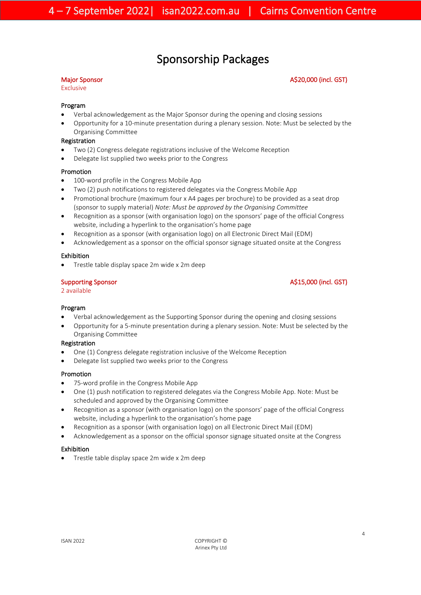## Sponsorship Packages

Exclusive

### Major Sponsor **A\$20,000** (incl. GST)

#### Program

- Verbal acknowledgement as the Major Sponsor during the opening and closing sessions
- Opportunity for a 10-minute presentation during a plenary session. Note: Must be selected by the Organising Committee

#### Registration

- Two (2) Congress delegate registrations inclusive of the Welcome Reception
- Delegate list supplied two weeks prior to the Congress

#### Promotion

- 100-word profile in the Congress Mobile App
- Two (2) push notifications to registered delegates via the Congress Mobile App
- Promotional brochure (maximum four x A4 pages per brochure) to be provided as a seat drop (sponsor to supply material) *Note: Must be approved by the Organising Committee*
- Recognition as a sponsor (with organisation logo) on the sponsors' page of the official Congress website, including a hyperlink to the organisation's home page
- Recognition as a sponsor (with organisation logo) on all Electronic Direct Mail (EDM)
- Acknowledgement as a sponsor on the official sponsor signage situated onsite at the Congress

#### Exhibition

• Trestle table display space 2m wide x 2m deep

2 available

### Supporting Sponsor A\$15,000 (incl. GST)

#### Program

- Verbal acknowledgement as the Supporting Sponsor during the opening and closing sessions
- Opportunity for a 5-minute presentation during a plenary session. Note: Must be selected by the Organising Committee

#### Registration

- One (1) Congress delegate registration inclusive of the Welcome Reception
- Delegate list supplied two weeks prior to the Congress

#### Promotion

- 75-word profile in the Congress Mobile App
- One (1) push notification to registered delegates via the Congress Mobile App. Note: Must be scheduled and approved by the Organising Committee
- Recognition as a sponsor (with organisation logo) on the sponsors' page of the official Congress website, including a hyperlink to the organisation's home page
- Recognition as a sponsor (with organisation logo) on all Electronic Direct Mail (EDM)
- Acknowledgement as a sponsor on the official sponsor signage situated onsite at the Congress

#### Exhibition

• Trestle table display space 2m wide x 2m deep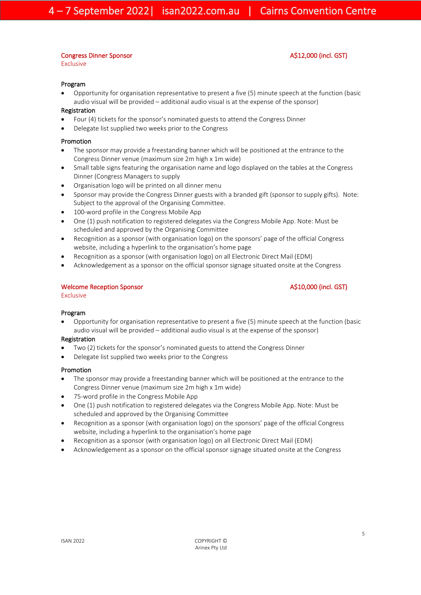#### Congress Dinner Sponsor A\$12,000 (incl. GST)

Exclusive

#### Program

• Opportunity for organisation representative to present a five (5) minute speech at the function (basic audio visual will be provided – additional audio visual is at the expense of the sponsor)

#### Registration

- Four (4) tickets for the sponsor's nominated guests to attend the Congress Dinner
- Delegate list supplied two weeks prior to the Congress

#### Promotion

- The sponsor may provide a freestanding banner which will be positioned at the entrance to the Congress Dinner venue (maximum size 2m high x 1m wide)
- Small table signs featuring the organisation name and logo displayed on the tables at the Congress Dinner (Congress Managers to supply
- Organisation logo will be printed on all dinner menu
- Sponsor may provide the Congress Dinner guests with a branded gift (sponsor to supply gifts). Note: Subject to the approval of the Organising Committee.
- 100-word profile in the Congress Mobile App
- One (1) push notification to registered delegates via the Congress Mobile App. Note: Must be scheduled and approved by the Organising Committee
- Recognition as a sponsor (with organisation logo) on the sponsors' page of the official Congress website, including a hyperlink to the organisation's home page
- Recognition as a sponsor (with organisation logo) on all Electronic Direct Mail (EDM)
- Acknowledgement as a sponsor on the official sponsor signage situated onsite at the Congress

### Welcome Reception Sponsor A\$10,000 (incl. GST)

Exclusive

### Program

• Opportunity for organisation representative to present a five (5) minute speech at the function (basic audio visual will be provided – additional audio visual is at the expense of the sponsor)

### Registration

- Two (2) tickets for the sponsor's nominated guests to attend the Congress Dinner
- Delegate list supplied two weeks prior to the Congress

#### Promotion

- The sponsor may provide a freestanding banner which will be positioned at the entrance to the Congress Dinner venue (maximum size 2m high x 1m wide)
- 75-word profile in the Congress Mobile App
- One (1) push notification to registered delegates via the Congress Mobile App. Note: Must be scheduled and approved by the Organising Committee
- Recognition as a sponsor (with organisation logo) on the sponsors' page of the official Congress website, including a hyperlink to the organisation's home page
- Recognition as a sponsor (with organisation logo) on all Electronic Direct Mail (EDM)
- Acknowledgement as a sponsor on the official sponsor signage situated onsite at the Congress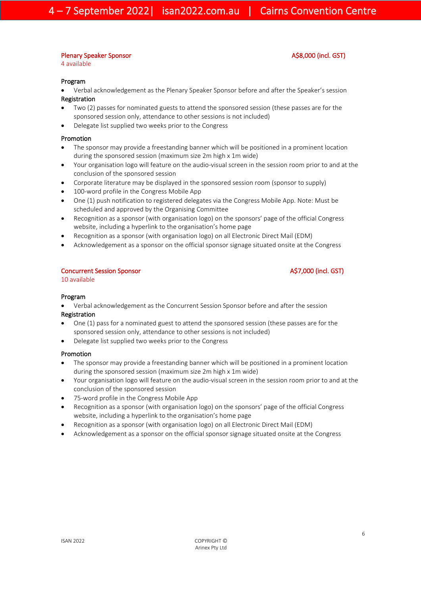#### Plenary Speaker Sponsor A\$8,000 (incl. GST)

4 available

### Program

- Verbal acknowledgement as the Plenary Speaker Sponsor before and after the Speaker's session Registration
- Two (2) passes for nominated guests to attend the sponsored session (these passes are for the sponsored session only, attendance to other sessions is not included)
- Delegate list supplied two weeks prior to the Congress

#### Promotion

- The sponsor may provide a freestanding banner which will be positioned in a prominent location during the sponsored session (maximum size 2m high x 1m wide)
- Your organisation logo will feature on the audio-visual screen in the session room prior to and at the conclusion of the sponsored session
- Corporate literature may be displayed in the sponsored session room (sponsor to supply)
- 100-word profile in the Congress Mobile App
- One (1) push notification to registered delegates via the Congress Mobile App. Note: Must be scheduled and approved by the Organising Committee
- Recognition as a sponsor (with organisation logo) on the sponsors' page of the official Congress website, including a hyperlink to the organisation's home page
- Recognition as a sponsor (with organisation logo) on all Electronic Direct Mail (EDM)
- Acknowledgement as a sponsor on the official sponsor signage situated onsite at the Congress

#### Concurrent Session Sponsor A\$7,000 (incl. GST)

#### 10 available

#### Program

• Verbal acknowledgement as the Concurrent Session Sponsor before and after the session

#### Registration

- One (1) pass for a nominated guest to attend the sponsored session (these passes are for the sponsored session only, attendance to other sessions is not included)
- Delegate list supplied two weeks prior to the Congress

#### Promotion

- The sponsor may provide a freestanding banner which will be positioned in a prominent location during the sponsored session (maximum size 2m high x 1m wide)
- Your organisation logo will feature on the audio-visual screen in the session room prior to and at the conclusion of the sponsored session
- 75-word profile in the Congress Mobile App
- Recognition as a sponsor (with organisation logo) on the sponsors' page of the official Congress website, including a hyperlink to the organisation's home page
- Recognition as a sponsor (with organisation logo) on all Electronic Direct Mail (EDM)
- Acknowledgement as a sponsor on the official sponsor signage situated onsite at the Congress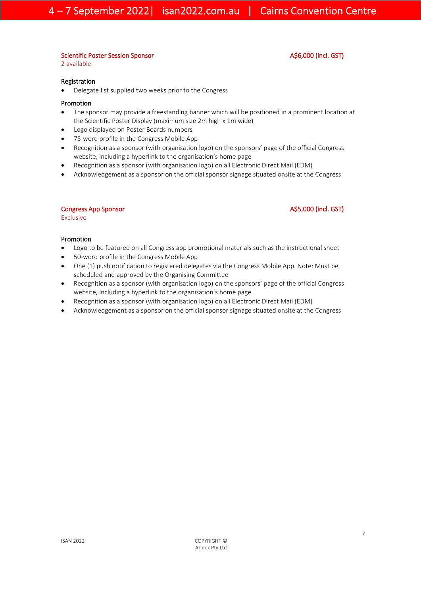#### Scientific Poster Session Sponsor A\$6,000 (incl. GST)

2 available

Registration

• Delegate list supplied two weeks prior to the Congress

#### Promotion

- The sponsor may provide a freestanding banner which will be positioned in a prominent location at the Scientific Poster Display (maximum size 2m high x 1m wide)
- Logo displayed on Poster Boards numbers
- 75-word profile in the Congress Mobile App
- Recognition as a sponsor (with organisation logo) on the sponsors' page of the official Congress website, including a hyperlink to the organisation's home page
- Recognition as a sponsor (with organisation logo) on all Electronic Direct Mail (EDM)
- Acknowledgement as a sponsor on the official sponsor signage situated onsite at the Congress

#### Congress App Sponsor **A\$5,000** (incl. GST)

Exclusive

#### Promotion

- Logo to be featured on all Congress app promotional materials such as the instructional sheet
- 50-word profile in the Congress Mobile App
- One (1) push notification to registered delegates via the Congress Mobile App. Note: Must be scheduled and approved by the Organising Committee
- Recognition as a sponsor (with organisation logo) on the sponsors' page of the official Congress website, including a hyperlink to the organisation's home page
- Recognition as a sponsor (with organisation logo) on all Electronic Direct Mail (EDM)
- Acknowledgement as a sponsor on the official sponsor signage situated onsite at the Congress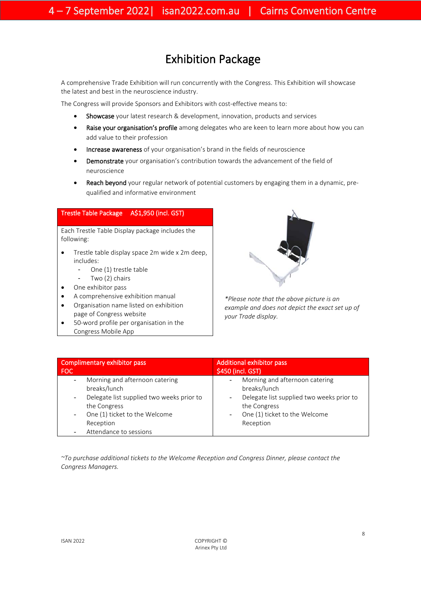# Exhibition Package

 A comprehensive Trade Exhibition will run concurrently with the Congress. This Exhibition will showcase the latest and best in the neuroscience industry.

The Congress will provide Sponsors and Exhibitors with cost-effective means to:

- Showcase your latest research & development, innovation, products and services
- Raise your organisation's profile among delegates who are keen to learn more about how you can add value to their profession
- Increase awareness of your organisation's brand in the fields of neuroscience
- Demonstrate your organisation's contribution towards the advancement of the field of neuroscience
- Reach beyond your regular network of potential customers by engaging them in a dynamic, prequalified and informative environment

#### Trestle Table Package A\$1,950 (incl. GST)

Each Trestle Table Display package includes the following:

- Trestle table display space 2m wide x 2m deep, includes:
	- One (1) trestle table
	- Two (2) chairs
- One exhibitor pass
- A comprehensive exhibition manual
- Organisation name listed on exhibition page of Congress website
- 50-word profile per organisation in the Congress Mobile App



*\*Please note that the above picture is an example and does not depict the exact set up of your Trade display.*

| Complimentary exhibitor pass                                                                                                                                                                                                                        | <b>Additional exhibitor pass</b>                                                                                                                                                                                          |
|-----------------------------------------------------------------------------------------------------------------------------------------------------------------------------------------------------------------------------------------------------|---------------------------------------------------------------------------------------------------------------------------------------------------------------------------------------------------------------------------|
| FOC                                                                                                                                                                                                                                                 | \$450 (incl. GST)                                                                                                                                                                                                         |
| Morning and afternoon catering<br>$\overline{\phantom{0}}$<br>breaks/lunch<br>Delegate list supplied two weeks prior to<br>$\overline{a}$<br>the Congress<br>One (1) ticket to the Welcome<br>$\blacksquare$<br>Reception<br>Attendance to sessions | Morning and afternoon catering<br>$\overline{\phantom{0}}$<br>breaks/lunch<br>Delegate list supplied two weeks prior to<br>$\overline{a}$<br>the Congress<br>One (1) ticket to the Welcome<br>$\overline{a}$<br>Reception |

*~To purchase additional tickets to the Welcome Reception and Congress Dinner, please contact the Congress Managers.*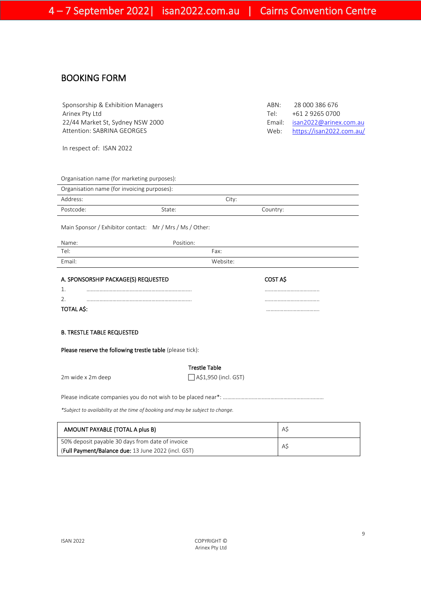### BOOKING FORM

| Sponsorship & Exhibition Managers | ABN: | 28 000 386 676                |
|-----------------------------------|------|-------------------------------|
| Arinex Pty Ltd                    | Tel∙ | +61 2 9265 0700               |
| 22/44 Market St, Sydney NSW 2000  |      | Email: isan2022@arinex.com.au |
| Attention: SABRINA GEORGES        |      | Web: https://isan2022.com.au/ |
|                                   |      |                               |

In respect of: ISAN 2022

|      | Email: isan2022@arinex.com.au |
|------|-------------------------------|
| Web: | https://isan2022.com.au/      |
|      |                               |
|      |                               |
|      |                               |

| Organisation name (for marketing purposes): |        |          |  |
|---------------------------------------------|--------|----------|--|
| Organisation name (for invoicing purposes): |        |          |  |
| Address:                                    |        | City:    |  |
| Postcode:                                   | State: | Country: |  |
|                                             |        |          |  |

Main Sponsor / Exhibitor contact: Mr / Mrs / Ms / Other:

| Name:  | Position: |  |
|--------|-----------|--|
| Tel:   | Fax:      |  |
| Email: | Website:  |  |

|            | A. SPONSORSHIP PACKAGE(S) REQUESTED | COST AS |
|------------|-------------------------------------|---------|
|            |                                     |         |
|            |                                     |         |
| TOTAL A\$: |                                     |         |

#### B. TRESTLE TABLE REQUESTED

Please reserve the following trestle table (please tick):

### Trestle Table

 $\Box$  A\$1,950 (incl. GST)

Please indicate companies you do not wish to be placed near\*: …………………………………………………….………

*\*Subject to availability at the time of booking and may be subject to change.*

| AMOUNT PAYABLE (TOTAL A plus B)                     | AS |
|-----------------------------------------------------|----|
| 50% deposit payable 30 days from date of invoice    | AS |
| (Full Payment/Balance due: 13 June 2022 (incl. GST) |    |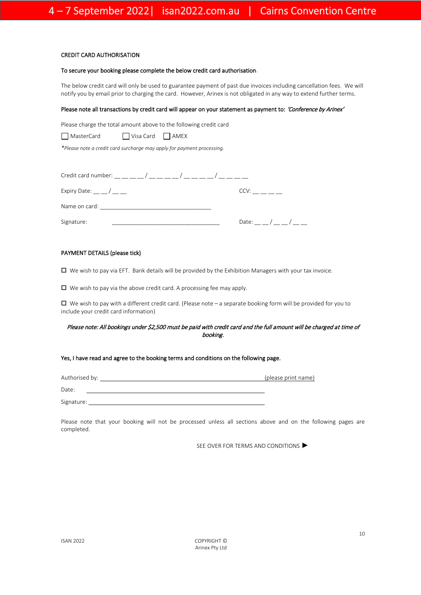#### CREDIT CARD AUTHORISATION

#### To secure your booking please complete the below credit card authorisation.

The below credit card will only be used to guarantee payment of past due invoices including cancellation fees. We will notify you by email prior to charging the card. However, Arinex is not obligated in any way to extend further terms.

#### Please note all transactions by credit card will appear on your statement as payment to: 'Conference by Arinex'

Please charge the total amount above to the following credit card

■ MasterCard ■ Visa Card ■ AMEX

*\*Please note a credit card surcharge may apply for payment processing.*

| Credit card number: _ _ _ _ _/ _ _ _ _ _/ _ _ _ _ / _ _ _ _ / |                     |
|---------------------------------------------------------------|---------------------|
| Expiry Date: $\_\_$ / $\_\_$                                  | CCV:                |
| Name on card:                                                 |                     |
| Signature:                                                    | Date:<br>$\sqrt{2}$ |

#### PAYMENT DETAILS (please tick)

 $\Box$  We wish to pay via EFT. Bank details will be provided by the Exhibition Managers with your tax invoice.

 $\square$  We wish to pay via the above credit card. A processing fee may apply.

 $\Box$  We wish to pay with a different credit card. (Please note – a separate booking form will be provided for you to include your credit card information)

#### Please note: All bookings under \$2,500 must be paid with credit card and the full amount will be charged at time of booking.

#### Yes, I have read and agree to the booking terms and conditions on the following page.

Authorised by: (please print name) Date: Signature:

Please note that your booking will not be processed unless all sections above and on the following pages are completed.

SEE OVER FOR TERMS AND CONDITIONS ▶